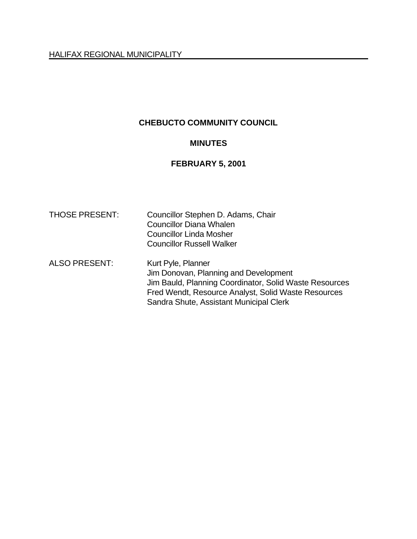# **CHEBUCTO COMMUNITY COUNCIL**

### **MINUTES**

# **FEBRUARY 5, 2001**

| <b>THOSE PRESENT:</b> | Councillor Stephen D. Adams, Chair<br><b>Councillor Diana Whalen</b><br><b>Councillor Linda Mosher</b><br><b>Councillor Russell Walker</b>                                                                              |
|-----------------------|-------------------------------------------------------------------------------------------------------------------------------------------------------------------------------------------------------------------------|
| <b>ALSO PRESENT:</b>  | Kurt Pyle, Planner<br>Jim Donovan, Planning and Development<br>Jim Bauld, Planning Coordinator, Solid Waste Resources<br>Fred Wendt, Resource Analyst, Solid Waste Resources<br>Sandra Shute, Assistant Municipal Clerk |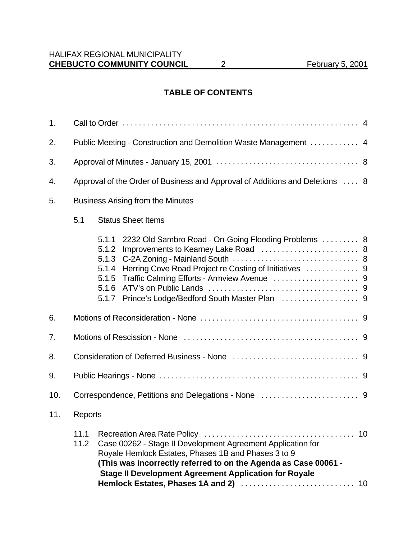# **TABLE OF CONTENTS**

| 1.  |                                                                              |                                                             |                                                                                                                                                                                                                                                       |  |  |
|-----|------------------------------------------------------------------------------|-------------------------------------------------------------|-------------------------------------------------------------------------------------------------------------------------------------------------------------------------------------------------------------------------------------------------------|--|--|
| 2.  | Public Meeting - Construction and Demolition Waste Management  4             |                                                             |                                                                                                                                                                                                                                                       |  |  |
| 3.  |                                                                              |                                                             |                                                                                                                                                                                                                                                       |  |  |
| 4.  | Approval of the Order of Business and Approval of Additions and Deletions  8 |                                                             |                                                                                                                                                                                                                                                       |  |  |
| 5.  | <b>Business Arising from the Minutes</b>                                     |                                                             |                                                                                                                                                                                                                                                       |  |  |
|     | <b>Status Sheet Items</b><br>5.1                                             |                                                             |                                                                                                                                                                                                                                                       |  |  |
|     |                                                                              | 5.1.1<br>5.1.2<br>5.1.3<br>5.1.4<br>5.1.5<br>5.1.6<br>5.1.7 | 2232 Old Sambro Road - On-Going Flooding Problems  8                                                                                                                                                                                                  |  |  |
| 6.  |                                                                              |                                                             |                                                                                                                                                                                                                                                       |  |  |
| 7.  |                                                                              |                                                             |                                                                                                                                                                                                                                                       |  |  |
| 8.  |                                                                              |                                                             |                                                                                                                                                                                                                                                       |  |  |
| 9.  |                                                                              |                                                             |                                                                                                                                                                                                                                                       |  |  |
| 10. |                                                                              |                                                             |                                                                                                                                                                                                                                                       |  |  |
| 11. | Reports                                                                      |                                                             |                                                                                                                                                                                                                                                       |  |  |
|     | 11.1<br>11.2                                                                 |                                                             | Case 00262 - Stage II Development Agreement Application for<br>Royale Hemlock Estates, Phases 1B and Phases 3 to 9<br>(This was incorrectly referred to on the Agenda as Case 00061 -<br><b>Stage II Development Agreement Application for Royale</b> |  |  |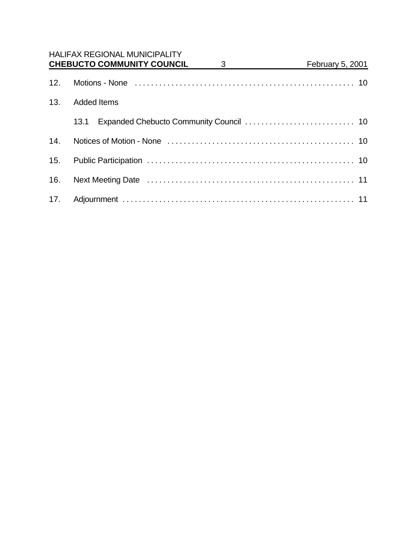|     | <b>HALIFAX REGIONAL MUNICIPALITY</b><br><b>CHEBUCTO COMMUNITY COUNCIL</b><br>3 | February 5, 2001 |  |  |  |
|-----|--------------------------------------------------------------------------------|------------------|--|--|--|
| 12. |                                                                                |                  |  |  |  |
| 13. | <b>Added Items</b>                                                             |                  |  |  |  |
|     | 13.1                                                                           |                  |  |  |  |
| 14. |                                                                                |                  |  |  |  |
|     |                                                                                |                  |  |  |  |
| 16. |                                                                                |                  |  |  |  |
|     |                                                                                |                  |  |  |  |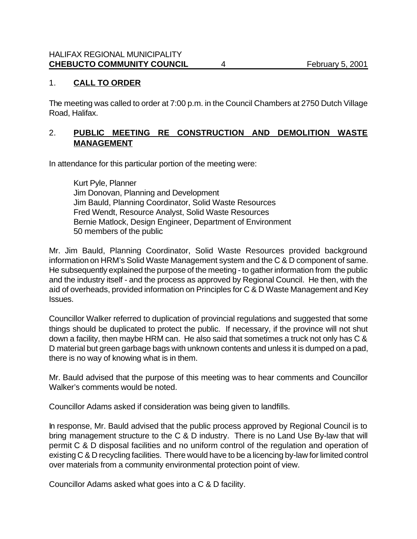### 1. **CALL TO ORDER**

The meeting was called to order at 7:00 p.m. in the Council Chambers at 2750 Dutch Village Road, Halifax.

# 2. **PUBLIC MEETING RE CONSTRUCTION AND DEMOLITION WASTE MANAGEMENT**

In attendance for this particular portion of the meeting were:

Kurt Pyle, Planner Jim Donovan, Planning and Development Jim Bauld, Planning Coordinator, Solid Waste Resources Fred Wendt, Resource Analyst, Solid Waste Resources Bernie Matlock, Design Engineer, Department of Environment 50 members of the public

Mr. Jim Bauld, Planning Coordinator, Solid Waste Resources provided background information on HRM's Solid Waste Management system and the C & D component of same. He subsequently explained the purpose of the meeting - to gather information from the public and the industry itself - and the process as approved by Regional Council. He then, with the aid of overheads, provided information on Principles for C & D Waste Management and Key Issues.

Councillor Walker referred to duplication of provincial regulations and suggested that some things should be duplicated to protect the public. If necessary, if the province will not shut down a facility, then maybe HRM can. He also said that sometimes a truck not only has C & D material but green garbage bags with unknown contents and unless it is dumped on a pad, there is no way of knowing what is in them.

Mr. Bauld advised that the purpose of this meeting was to hear comments and Councillor Walker's comments would be noted.

Councillor Adams asked if consideration was being given to landfills.

In response, Mr. Bauld advised that the public process approved by Regional Council is to bring management structure to the C & D industry. There is no Land Use By-law that will permit C & D disposal facilities and no uniform control of the regulation and operation of existing C & D recycling facilities. There would have to be a licencing by-law for limited control over materials from a community environmental protection point of view.

Councillor Adams asked what goes into a C & D facility.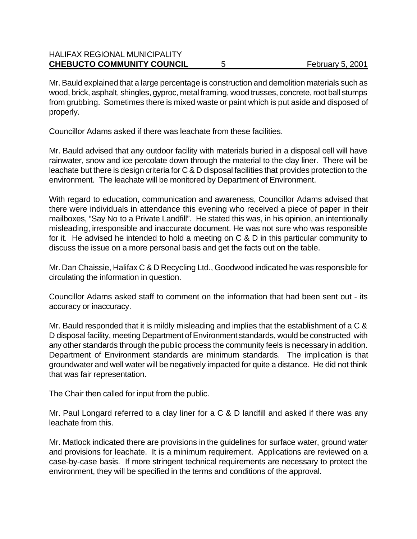# HALIFAX REGIONAL MUNICIPALITY **CHEBUCTO COMMUNITY COUNCIL** 5 February 5, 2001

Mr. Bauld explained that a large percentage is construction and demolition materials such as wood, brick, asphalt, shingles, gyproc, metal framing, wood trusses, concrete, root ball stumps from grubbing. Sometimes there is mixed waste or paint which is put aside and disposed of properly.

Councillor Adams asked if there was leachate from these facilities.

Mr. Bauld advised that any outdoor facility with materials buried in a disposal cell will have rainwater, snow and ice percolate down through the material to the clay liner. There will be leachate but there is design criteria for C & D disposal facilities that provides protection to the environment. The leachate will be monitored by Department of Environment.

With regard to education, communication and awareness, Councillor Adams advised that there were individuals in attendance this evening who received a piece of paper in their mailboxes, "Say No to a Private Landfill". He stated this was, in his opinion, an intentionally misleading, irresponsible and inaccurate document. He was not sure who was responsible for it. He advised he intended to hold a meeting on C & D in this particular community to discuss the issue on a more personal basis and get the facts out on the table.

Mr. Dan Chaissie, Halifax C & D Recycling Ltd., Goodwood indicated he was responsible for circulating the information in question.

Councillor Adams asked staff to comment on the information that had been sent out - its accuracy or inaccuracy.

Mr. Bauld responded that it is mildly misleading and implies that the establishment of a C & D disposal facility, meeting Department of Environment standards, would be constructed with any other standards through the public process the community feels is necessary in addition. Department of Environment standards are minimum standards. The implication is that groundwater and well water will be negatively impacted for quite a distance. He did not think that was fair representation.

The Chair then called for input from the public.

Mr. Paul Longard referred to a clay liner for a C & D landfill and asked if there was any leachate from this.

Mr. Matlock indicated there are provisions in the guidelines for surface water, ground water and provisions for leachate. It is a minimum requirement. Applications are reviewed on a case-by-case basis. If more stringent technical requirements are necessary to protect the environment, they will be specified in the terms and conditions of the approval.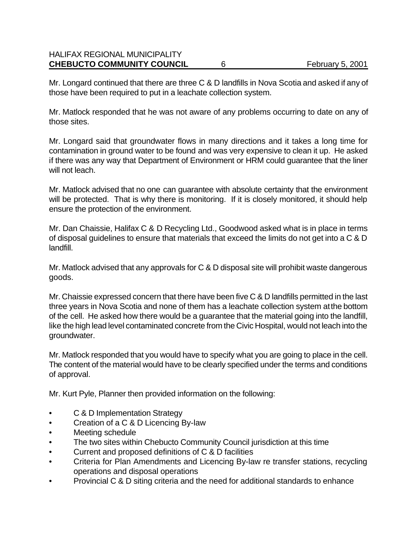# HALIFAX REGIONAL MUNICIPALITY **CHEBUCTO COMMUNITY COUNCIL** 6 February 5, 2001

Mr. Longard continued that there are three C & D landfills in Nova Scotia and asked if any of those have been required to put in a leachate collection system.

Mr. Matlock responded that he was not aware of any problems occurring to date on any of those sites.

Mr. Longard said that groundwater flows in many directions and it takes a long time for contamination in ground water to be found and was very expensive to clean it up. He asked if there was any way that Department of Environment or HRM could guarantee that the liner will not leach.

Mr. Matlock advised that no one can guarantee with absolute certainty that the environment will be protected. That is why there is monitoring. If it is closely monitored, it should help ensure the protection of the environment.

Mr. Dan Chaissie, Halifax C & D Recycling Ltd., Goodwood asked what is in place in terms of disposal guidelines to ensure that materials that exceed the limits do not get into a C & D landfill.

Mr. Matlock advised that any approvals for C & D disposal site will prohibit waste dangerous goods.

Mr. Chaissie expressed concern that there have been five C & D landfills permitted in the last three years in Nova Scotia and none of them has a leachate collection system at the bottom of the cell. He asked how there would be a guarantee that the material going into the landfill, like the high lead level contaminated concrete from the Civic Hospital, would not leach into the groundwater.

Mr. Matlock responded that you would have to specify what you are going to place in the cell. The content of the material would have to be clearly specified under the terms and conditions of approval.

Mr. Kurt Pyle, Planner then provided information on the following:

- C & D Implementation Strategy
- Creation of a C & D Licencing By-law
- Meeting schedule
- The two sites within Chebucto Community Council jurisdiction at this time
- Current and proposed definitions of C & D facilities
- Criteria for Plan Amendments and Licencing By-law re transfer stations, recycling operations and disposal operations
- Provincial C & D siting criteria and the need for additional standards to enhance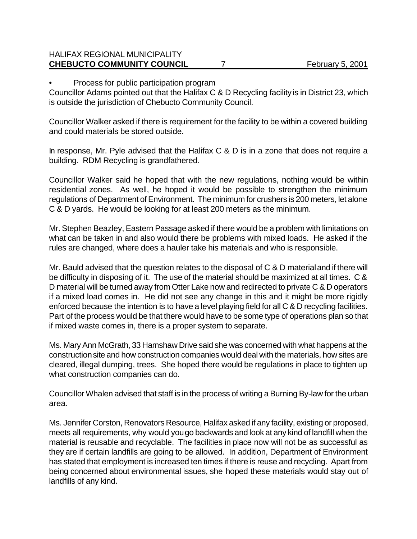# HALIFAX REGIONAL MUNICIPALITY **CHEBUCTO COMMUNITY COUNCIL** 7 February 5, 2001

• Process for public participation program

Councillor Adams pointed out that the Halifax C & D Recycling facility is in District 23, which is outside the jurisdiction of Chebucto Community Council.

Councillor Walker asked if there is requirement for the facility to be within a covered building and could materials be stored outside.

In response, Mr. Pyle advised that the Halifax C & D is in a zone that does not require a building. RDM Recycling is grandfathered.

Councillor Walker said he hoped that with the new regulations, nothing would be within residential zones. As well, he hoped it would be possible to strengthen the minimum regulations of Department of Environment. The minimum for crushers is 200 meters, let alone C & D yards. He would be looking for at least 200 meters as the minimum.

Mr. Stephen Beazley, Eastern Passage asked if there would be a problem with limitations on what can be taken in and also would there be problems with mixed loads. He asked if the rules are changed, where does a hauler take his materials and who is responsible.

Mr. Bauld advised that the question relates to the disposal of C & D material and if there will be difficulty in disposing of it. The use of the material should be maximized at all times. C & D material will be turned away from Otter Lake now and redirected to private C & D operators if a mixed load comes in. He did not see any change in this and it might be more rigidly enforced because the intention is to have a level playing field for all C & D recycling facilities. Part of the process would be that there would have to be some type of operations plan so that if mixed waste comes in, there is a proper system to separate.

Ms. Mary Ann McGrath, 33 Hamshaw Drive said she was concerned with what happens at the construction site and how construction companies would deal with the materials, how sites are cleared, illegal dumping, trees. She hoped there would be regulations in place to tighten up what construction companies can do.

Councillor Whalen advised that staff is in the process of writing a Burning By-law for the urban area.

Ms. Jennifer Corston, Renovators Resource, Halifax asked if any facility, existing or proposed, meets all requirements, why would you go backwards and look at any kind of landfill when the material is reusable and recyclable. The facilities in place now will not be as successful as they are if certain landfills are going to be allowed. In addition, Department of Environment has stated that employment is increased ten times if there is reuse and recycling. Apart from being concerned about environmental issues, she hoped these materials would stay out of landfills of any kind.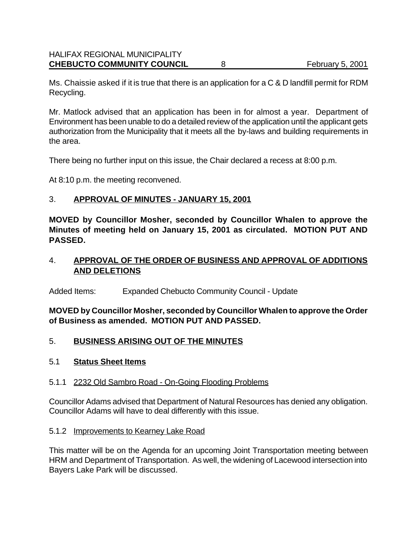Ms. Chaissie asked if it is true that there is an application for a C & D landfill permit for RDM Recycling.

Mr. Matlock advised that an application has been in for almost a year. Department of Environment has been unable to do a detailed review of the application until the applicant gets authorization from the Municipality that it meets all the by-laws and building requirements in the area.

There being no further input on this issue, the Chair declared a recess at 8:00 p.m.

At 8:10 p.m. the meeting reconvened.

### 3. **APPROVAL OF MINUTES - JANUARY 15, 2001**

**MOVED by Councillor Mosher, seconded by Councillor Whalen to approve the Minutes of meeting held on January 15, 2001 as circulated. MOTION PUT AND PASSED.**

# 4. **APPROVAL OF THE ORDER OF BUSINESS AND APPROVAL OF ADDITIONS AND DELETIONS**

Added Items: Expanded Chebucto Community Council - Update

**MOVED by Councillor Mosher, seconded by Councillor Whalen to approve the Order of Business as amended. MOTION PUT AND PASSED.**

### 5. **BUSINESS ARISING OUT OF THE MINUTES**

### 5.1 **Status Sheet Items**

### 5.1.1 2232 Old Sambro Road - On-Going Flooding Problems

Councillor Adams advised that Department of Natural Resources has denied any obligation. Councillor Adams will have to deal differently with this issue.

### 5.1.2 Improvements to Kearney Lake Road

This matter will be on the Agenda for an upcoming Joint Transportation meeting between HRM and Department of Transportation. As well, the widening of Lacewood intersection into Bayers Lake Park will be discussed.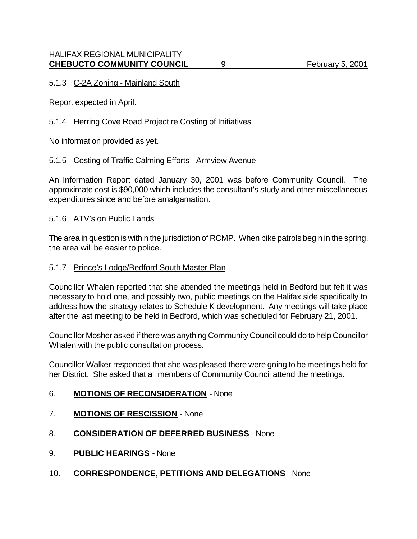# 5.1.3 C-2A Zoning - Mainland South

Report expected in April.

### 5.1.4 Herring Cove Road Project re Costing of Initiatives

No information provided as yet.

### 5.1.5 Costing of Traffic Calming Efforts - Armview Avenue

An Information Report dated January 30, 2001 was before Community Council. The approximate cost is \$90,000 which includes the consultant's study and other miscellaneous expenditures since and before amalgamation.

### 5.1.6 ATV's on Public Lands

The area in question is within the jurisdiction of RCMP. When bike patrols begin in the spring, the area will be easier to police.

#### 5.1.7 Prince's Lodge/Bedford South Master Plan

Councillor Whalen reported that she attended the meetings held in Bedford but felt it was necessary to hold one, and possibly two, public meetings on the Halifax side specifically to address how the strategy relates to Schedule K development. Any meetings will take place after the last meeting to be held in Bedford, which was scheduled for February 21, 2001.

Councillor Mosher asked if there was anything Community Council could do to help Councillor Whalen with the public consultation process.

Councillor Walker responded that she was pleased there were going to be meetings held for her District. She asked that all members of Community Council attend the meetings.

### 6. **MOTIONS OF RECONSIDERATION** - None

- 7. **MOTIONS OF RESCISSION** None
- 8. **CONSIDERATION OF DEFERRED BUSINESS** None
- 9. **PUBLIC HEARINGS** None
- 10. **CORRESPONDENCE, PETITIONS AND DELEGATIONS** None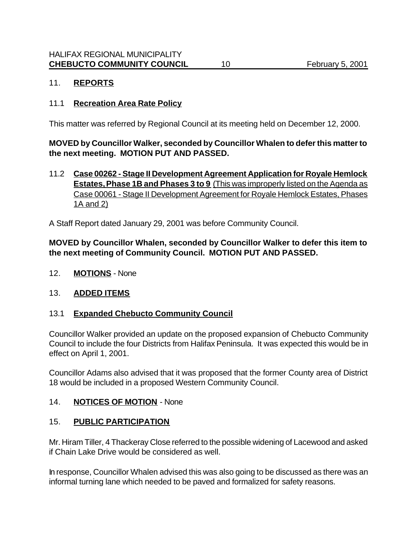# 11. **REPORTS**

### 11.1 **Recreation Area Rate Policy**

This matter was referred by Regional Council at its meeting held on December 12, 2000.

**MOVED by Councillor Walker, seconded by Councillor Whalen to defer this matter to the next meeting. MOTION PUT AND PASSED.**

11.2 **Case 00262 - Stage II Development Agreement Application for Royale Hemlock Estates, Phase 1B and Phases 3 to 9** (This was improperly listed on the Agenda as Case 00061 - Stage II Development Agreement for Royale Hemlock Estates, Phases 1A and 2)

A Staff Report dated January 29, 2001 was before Community Council.

# **MOVED by Councillor Whalen, seconded by Councillor Walker to defer this item to the next meeting of Community Council. MOTION PUT AND PASSED.**

12. **MOTIONS** - None

# 13. **ADDED ITEMS**

### 13.1 **Expanded Chebucto Community Council**

Councillor Walker provided an update on the proposed expansion of Chebucto Community Council to include the four Districts from Halifax Peninsula. It was expected this would be in effect on April 1, 2001.

Councillor Adams also advised that it was proposed that the former County area of District 18 would be included in a proposed Western Community Council.

### 14. **NOTICES OF MOTION** - None

### 15. **PUBLIC PARTICIPATION**

Mr. Hiram Tiller, 4 Thackeray Close referred to the possible widening of Lacewood and asked if Chain Lake Drive would be considered as well.

In response, Councillor Whalen advised this was also going to be discussed as there was an informal turning lane which needed to be paved and formalized for safety reasons.